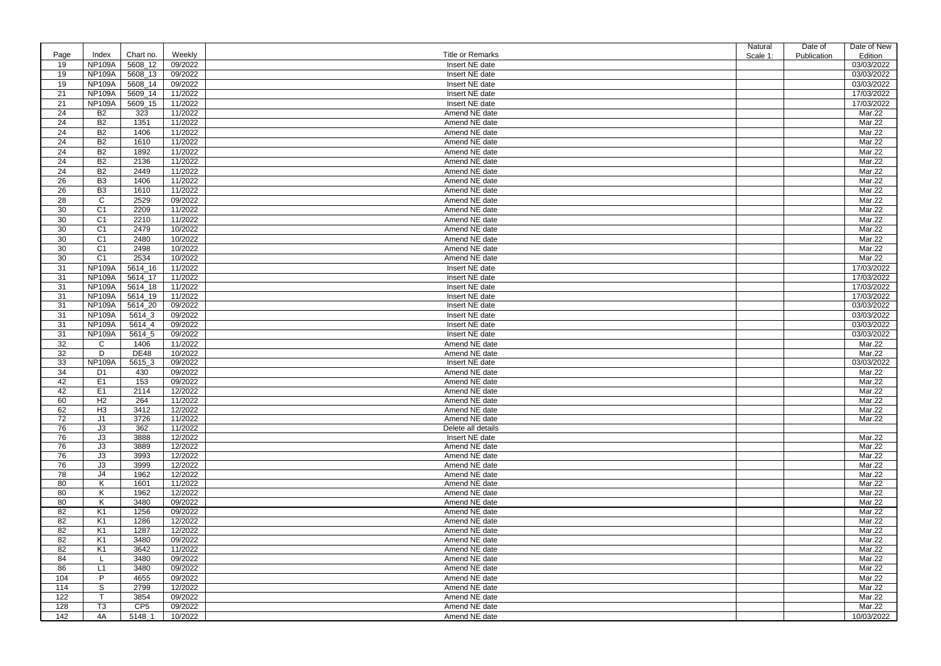|      |                |                 |         |                         | <b>Natural</b> | Date of     | Date of New      |
|------|----------------|-----------------|---------|-------------------------|----------------|-------------|------------------|
| Page | Index          | Chart no.       | Weekly  | <b>Title or Remarks</b> | Scale 1:       | Publication | Edition          |
| 19   | <b>NP109A</b>  | 5608_12         | 09/2022 | Insert NE date          |                |             | 03/03/2022       |
| 19   | <b>NP109A</b>  | 5608_13         | 09/2022 | Insert NE date          |                |             | 03/03/2022       |
| 19   | <b>NP109A</b>  | 5608_14         | 09/2022 | Insert NE date          |                |             | 03/03/2022       |
| 21   | <b>NP109A</b>  | 5609_14         | 11/2022 | Insert NE date          |                |             | 17/03/2022       |
| 21   | <b>NP109A</b>  | 5609_15         | 11/2022 | Insert NE date          |                |             | 17/03/2022       |
| 24   | <b>B2</b>      | 323             | 11/2022 | Amend NE date           |                |             | Mar.22           |
| 24   | <b>B2</b>      | 1351            | 11/2022 | Amend NE date           |                |             | Mar.22           |
| 24   | <b>B2</b>      | 1406            | 11/2022 | Amend NE date           |                |             | Mar.22           |
| 24   | B <sub>2</sub> | 1610            | 11/2022 | Amend NE date           |                |             | Mar.22           |
| 24   | <b>B2</b>      | 1892            | 11/2022 | Amend NE date           |                |             | Mar.22           |
|      |                |                 |         |                         |                |             | Mar.22           |
| 24   | <b>B2</b>      | 2136            | 11/2022 | Amend NE date           |                |             |                  |
| 24   | <b>B2</b>      | 2449            | 11/2022 | Amend NE date           |                |             | Mar.22           |
| 26   | B <sub>3</sub> | 1406            | 11/2022 | Amend NE date           |                |             | Mar.22           |
| 26   | B <sub>3</sub> | 1610            | 11/2022 | Amend NE date           |                |             | Mar.22           |
| 28   | $\mathsf{C}$   | 2529            | 09/2022 | Amend NE date           |                |             | Mar.22           |
| 30   | C <sub>1</sub> | 2209            | 11/2022 | Amend NE date           |                |             | Mar.22           |
| 30   | C <sub>1</sub> | 2210            | 11/2022 | Amend NE date           |                |             | Mar.22           |
| 30   | C <sub>1</sub> | 2479            | 10/2022 | Amend NE date           |                |             | Mar.22           |
| 30   | C <sub>1</sub> | 2480            | 10/2022 | Amend NE date           |                |             | Mar.22           |
| 30   | C <sub>1</sub> | 2498            | 10/2022 | Amend NE date           |                |             | Mar.22           |
| 30   | C <sub>1</sub> | 2534            | 10/2022 | Amend NE date           |                |             | Mar.22           |
| 31   | NP109A         | 5614_16         | 11/2022 | Insert NE date          |                |             | 17/03/2022       |
| 31   | <b>NP109A</b>  | 5614_17         | 11/2022 | Insert NE date          |                |             | 17/03/2022       |
| 31   | <b>NP109A</b>  | 5614_18         | 11/2022 | Insert NE date          |                |             | 17/03/2022       |
| 31   | <b>NP109A</b>  | 5614_19         | 11/2022 | Insert NE date          |                |             | 17/03/2022       |
| 31   | <b>NP109A</b>  | 5614_20         | 09/2022 | Insert NE date          |                |             | 03/03/2022       |
| 31   | <b>NP109A</b>  | 5614_3          | 09/2022 | Insert NE date          |                |             | 03/03/2022       |
| 31   | <b>NP109A</b>  | 5614_4          | 09/2022 | Insert NE date          |                |             | 03/03/2022       |
| 31   | <b>NP109A</b>  | 5614_5          | 09/2022 | Insert NE date          |                |             | 03/03/2022       |
| 32   | $\mathsf{C}$   | 1406            | 11/2022 | Amend NE date           |                |             | Mar.22           |
| 32   | D              | <b>DE48</b>     | 10/2022 | Amend NE date           |                |             | Mar.22           |
| 33   | <b>NP109A</b>  | 5615_3          | 09/2022 | Insert NE date          |                |             | 03/03/2022       |
| 34   | D1             | 430             | 09/2022 | Amend NE date           |                |             | Mar.22           |
| 42   | E <sub>1</sub> | 153             | 09/2022 | Amend NE date           |                |             | Mar.22           |
| 42   | E <sub>1</sub> | 2114            | 12/2022 | Amend NE date           |                |             | Mar.22           |
| 60   | H2             | 264             | 11/2022 | Amend NE date           |                |             | Mar.22           |
| 62   | H <sub>3</sub> | 3412            | 12/2022 | Amend NE date           |                |             | Mar.22           |
| 72   | J1             | 3726            | 11/2022 | Amend NE date           |                |             | Mar.22           |
| 76   | J3             | 362             | 11/2022 | Delete all details      |                |             |                  |
| 76   | J3             | 3888            | 12/2022 | Insert NE date          |                |             | Mar.22           |
| 76   | J3             | 3889            | 12/2022 | Amend NE date           |                |             | Mar.22           |
| 76   | J3             | 3993            | 12/2022 | Amend NE date           |                |             | Mar.22           |
| 76   | J3             | 3999            | 12/2022 | Amend NE date           |                |             | Mar.22           |
| 78   | J4             | 1962            | 12/2022 | Amend NE date           |                |             | Mar.22           |
| 80   | K              | 1601            | 11/2022 | Amend NE date           |                |             | Mar.22           |
| 80   | K              | 1962            | 12/2022 | Amend NE date           |                |             | Mar.22           |
| 80   | K              | 3480            | 09/2022 | Amend NE date           |                |             | Mar.22           |
| 82   | K <sub>1</sub> | 1256            | 09/2022 | Amend NE date           |                |             | Mar.22           |
| 82   | K <sub>1</sub> | 1286            | 12/2022 | Amend NE date           |                |             | Mar.22           |
| 82   | K <sub>1</sub> | 1287            | 12/2022 | Amend NE date           |                |             | Mar.22           |
| 82   | K <sub>1</sub> | 3480            | 09/2022 | Amend NE date           |                |             | Mar.22           |
| 82   | K <sub>1</sub> | 3642            | 11/2022 | Amend NE date           |                |             | Mar.22           |
| 84   |                | 3480            | 09/2022 | Amend NE date           |                |             | Mar.22           |
| 86   | L1             | 3480            | 09/2022 | Amend NE date           |                |             | Mar.22           |
| 104  | P              | 4655            | 09/2022 | Amend NE date           |                |             | Mar.22           |
| 114  | S              | 2799            | 12/2022 | Amend NE date           |                |             | Mar.22           |
|      | $\mathsf{T}$   | 3854            |         | Amend NE date           |                |             |                  |
| 122  |                | CP <sub>5</sub> | 09/2022 |                         |                |             | Mar.22<br>Mar.22 |
| 128  | T <sub>3</sub> |                 | 09/2022 | Amend NE date           |                |             |                  |
| 142  | 4A             | 5148_1          | 10/2022 | Amend NE date           |                |             | 10/03/2022       |